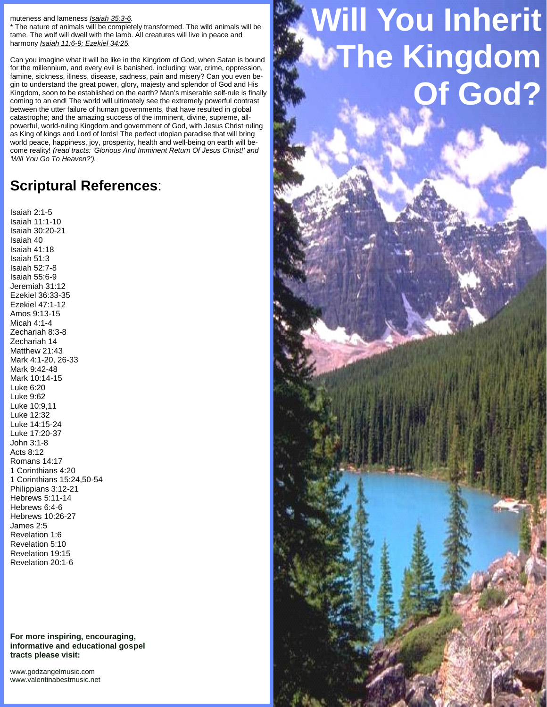## muteness and lameness *Isaiah 35:3-6.*

\* The nature of animals will be completely transformed. The wild animals will be tame. The wolf will dwell with the lamb. All creatures will live in peace and harmony *Isaiah 11:6-9; Ezekiel 34:25.*

Can you imagine what it will be like in the Kingdom of God, when Satan is bound for the millennium, and every evil is banished, including: war, crime, oppression, famine, sickness, illness, disease, sadness, pain and misery? Can you even be gin to understand the great power, glory, majesty and splendor of God and His Kingdom, soon to be established on the earth? Man's miserable self-rule is finally coming to an end! The world will ultimately see the extremely powerful contrast between the utter failure of human governments, that have resulted in global catastrophe; and the amazing success of the imminent, divine, supreme, all powerful, world-ruling Kingdom and government of God, with Jesus Christ ruling as King of kings and Lord of lords! The perfect utopian paradise that will bring world peace, happiness, joy, prosperity, health and well-being on earth will be come reality! *(read tracts: 'Glorious And Imminent Return Of Jesus Christ!' and 'Will You Go To Heaven?').*

## **Scriptural References**:

Isaiah 2:1-5 Isaiah 11:1-10 Isaiah 30:20-21 Isaiah 40 Isaiah 41:18 Isaiah 51:3 Isaiah 52:7-8 Isaiah 55:6-9 Jeremiah 31:12 Ezekiel 36:33-35 Ezekiel 47:1-12 Amos 9:13-15 Micah 4:1-4 Zechariah 8:3-8 Zechariah 14 Matthew 21:43 Mark 4:1-20, 26-33 Mark 9:42-48 Mark 10:14-15 Luke 6:20 Luke 9:62 Luke 10:9,11 Luke 12:32 Luke 14:15-24 Luke 17:20-37 John 3:1-8 Acts 8:12 Romans 14:17 1 Corinthians 4:20 1 Corinthians 15:24,50-54 Philippians 3:12-21 Hebrews 5:11-14 Hebrews 6:4-6 Hebrews 10:26-27 James 2:5 Revelation 1:6 Revelation 5:10 Revelation 19:15 Revelation 20:1-6

**For more inspiring, encouraging, informative and educational gospel tracts please visit:**

<www.godzangelmusic.com> <www.valentinabestmusic.net>

## **Will You Inherit NThe Kingdom Of God?**